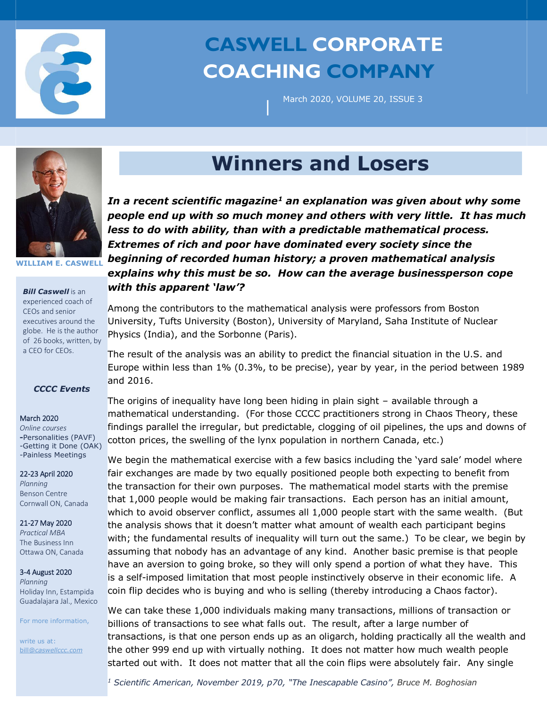

# **CASWELL CORPORATE COACHING COMPANY**

|

March 2020, VOLUME 20, ISSUE 3



**WILLIAM E. CASWELL**

*Bill Caswell* is an experienced coach of CEOs and senior executives around the globe. He is the author of 26 books, written, by a CEO for CEOs.

## *CCCC Events*

#### March 2020

*Online courses* **-**Personalities (PAVF) -Getting it Done (OAK) -Painless Meetings

#### 22-23 April 2020

*Planning* Benson Centre Cornwall ON, Canada

## 21-27 May 2020

*Practical MBA*  The Business Inn Ottawa ON, Canada

#### 3-4 August 2020

*Planning*  Holiday Inn, Estampida Guadalajara Jal., Mexico

For more information,

write us at: bill@*caswellccc.com*

# **Winners and Losers**

*In a recent scientific magazine<sup>1</sup> an explanation was given about why some people end up with so much money and others with very little. It has much less to do with ability, than with a predictable mathematical process. Extremes of rich and poor have dominated every society since the beginning of recorded human history; a proven mathematical analysis explains why this must be so. How can the average businessperson cope with this apparent 'law'?*

Among the contributors to the mathematical analysis were professors from Boston University, Tufts University (Boston), University of Maryland, Saha Institute of Nuclear Physics (India), and the Sorbonne (Paris).

The result of the analysis was an ability to predict the financial situation in the U.S. and Europe within less than 1% (0.3%, to be precise), year by year, in the period between 1989 and 2016.

The origins of inequality have long been hiding in plain sight – available through a mathematical understanding. (For those CCCC practitioners strong in Chaos Theory, these findings parallel the irregular, but predictable, clogging of oil pipelines, the ups and downs of cotton prices, the swelling of the lynx population in northern Canada, etc.)

We begin the mathematical exercise with a few basics including the 'yard sale' model where fair exchanges are made by two equally positioned people both expecting to benefit from the transaction for their own purposes. The mathematical model starts with the premise that 1,000 people would be making fair transactions. Each person has an initial amount, which to avoid observer conflict, assumes all 1,000 people start with the same wealth. (But the analysis shows that it doesn't matter what amount of wealth each participant begins with; the fundamental results of inequality will turn out the same.) To be clear, we begin by assuming that nobody has an advantage of any kind. Another basic premise is that people have an aversion to going broke, so they will only spend a portion of what they have. This is a self-imposed limitation that most people instinctively observe in their economic life. A coin flip decides who is buying and who is selling (thereby introducing a Chaos factor).

We can take these 1,000 individuals making many transactions, millions of transaction or billions of transactions to see what falls out. The result, after a large number of transactions, is that one person ends up as an oligarch, holding practically all the wealth and the other 999 end up with virtually nothing. It does not matter how much wealth people started out with. It does not matter that all the coin flips were absolutely fair. Any single

*<sup>1</sup> Scientific American, November 2019, p70, "The Inescapable Casino", Bruce M. Boghosian*